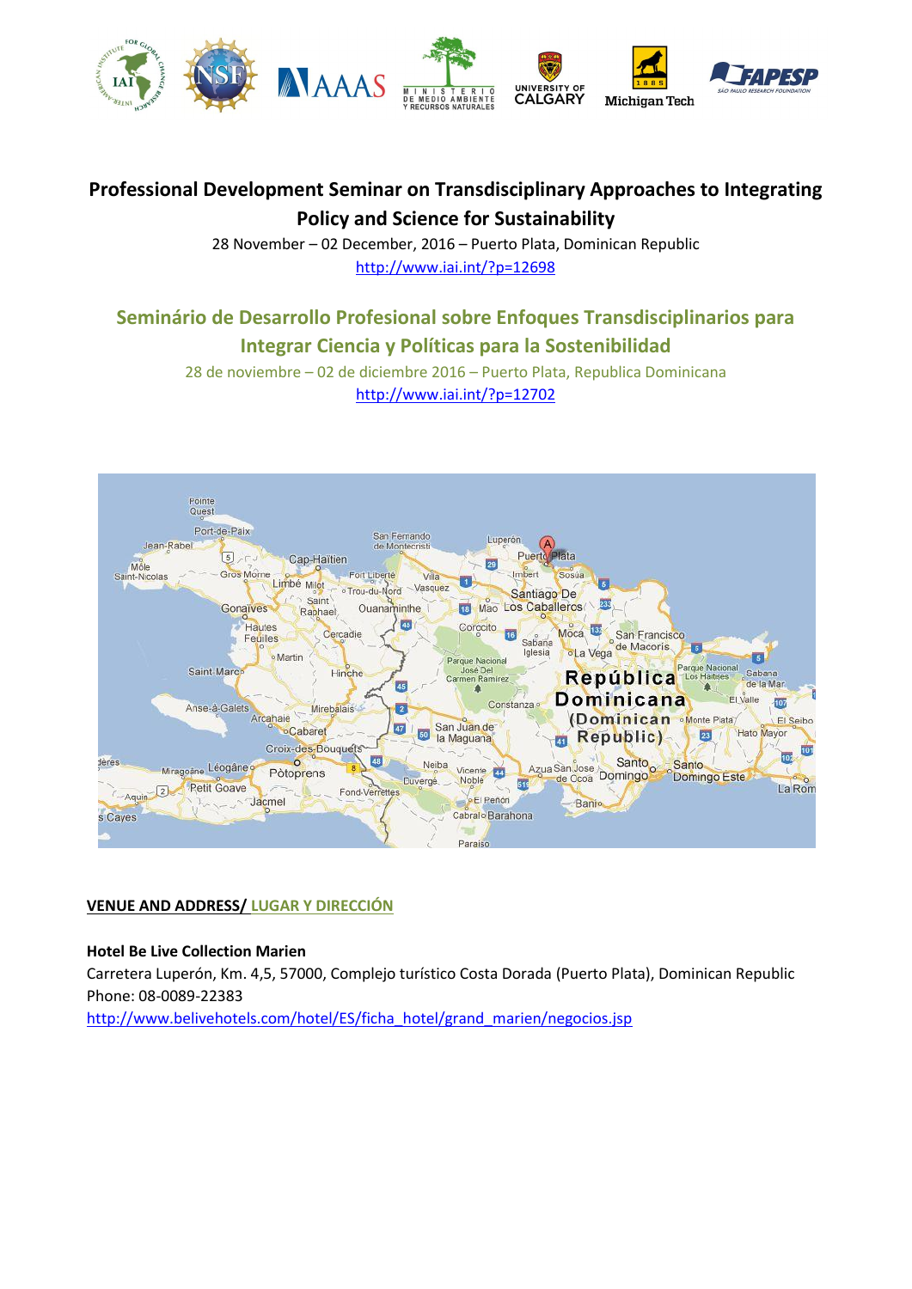

# **Professional Development Seminar on Transdisciplinary Approaches to Integrating Policy and Science for Sustainability**

28 November – 02 December, 2016 – Puerto Plata, Dominican Republic <http://www.iai.int/?p=12698>

# **Seminário de Desarrollo Profesional sobre Enfoques Transdisciplinarios para Integrar Ciencia y Políticas para la Sostenibilidad**

28 de noviembre – 02 de diciembre 2016 – Puerto Plata, Republica Dominicana <http://www.iai.int/?p=12702>



# **VENUE AND ADDRESS/ LUGAR Y DIRECCIÓN**

# **Hotel Be Live Collection Marien**

Carretera Luperón, Km. 4,5, 57000, Complejo turístico Costa Dorada (Puerto Plata), Dominican Republic Phone: 08-0089-22383 [http://www.belivehotels.com/hotel/ES/ficha\\_hotel/grand\\_marien/negocios.jsp](http://www.belivehotels.com/hotel/ES/ficha_hotel/grand_marien/negocios.jsp)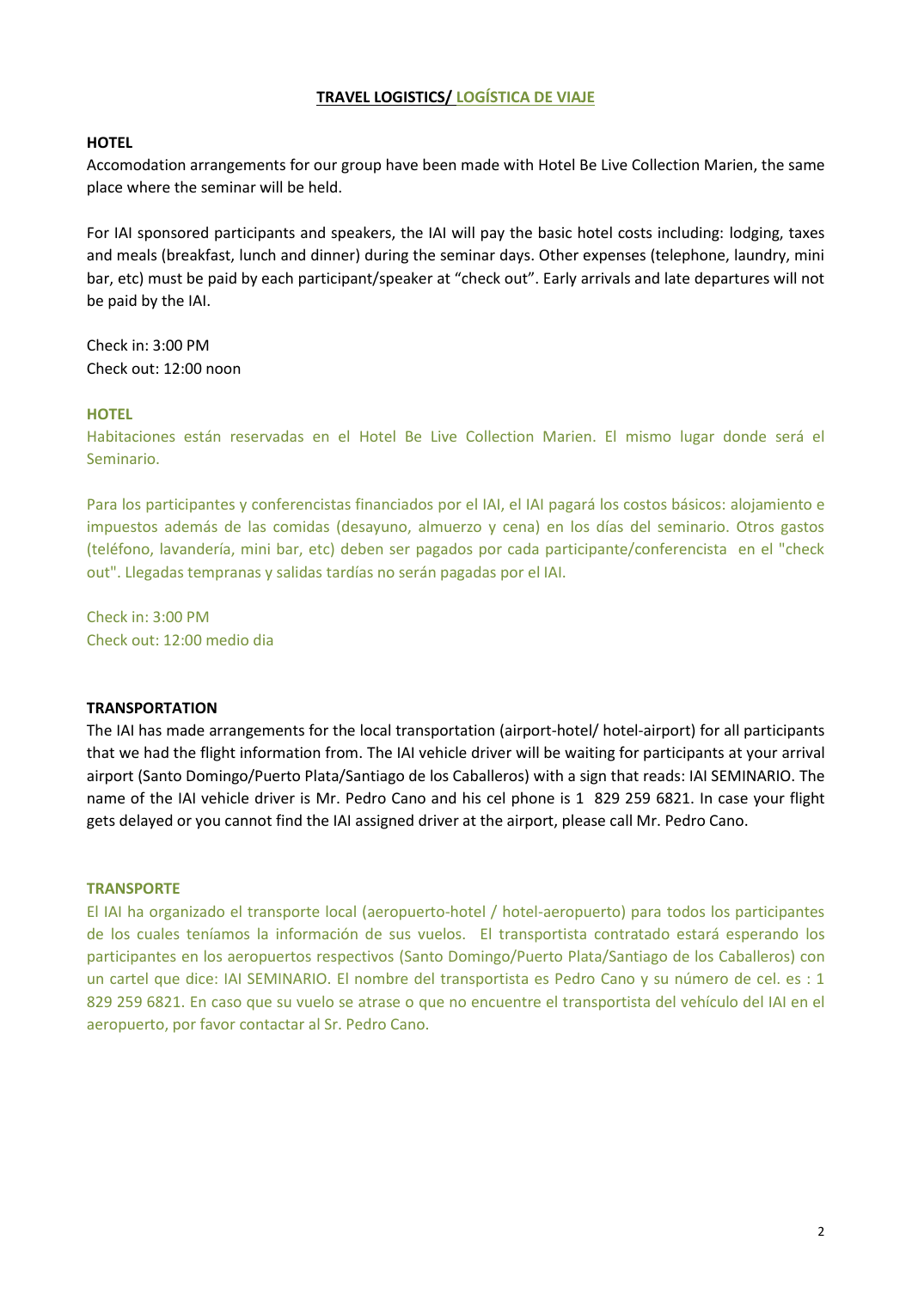# **TRAVEL LOGISTICS/ LOGÍSTICA DE VIAJE**

## **HOTEL**

Accomodation arrangements for our group have been made with Hotel Be Live Collection Marien, the same place where the seminar will be held.

For IAI sponsored participants and speakers, the IAI will pay the basic hotel costs including: lodging, taxes and meals (breakfast, lunch and dinner) during the seminar days. Other expenses (telephone, laundry, mini bar, etc) must be paid by each participant/speaker at "check out". Early arrivals and late departures will not be paid by the IAI.

Check in: 3:00 PM Check out: 12:00 noon

#### **HOTEL**

Habitaciones están reservadas en el Hotel Be Live Collection Marien. El mismo lugar donde será el Seminario.

Para los participantes y conferencistas financiados por el IAI, el IAI pagará los costos básicos: alojamiento e impuestos además de las comidas (desayuno, almuerzo y cena) en los días del seminario. Otros gastos (teléfono, lavandería, mini bar, etc) deben ser pagados por cada participante/conferencista en el "check out". Llegadas tempranas y salidas tardías no serán pagadas por el IAI.

Check in: 3:00 PM Check out: 12:00 medio dia

#### **TRANSPORTATION**

The IAI has made arrangements for the local transportation (airport-hotel/ hotel-airport) for all participants that we had the flight information from. The IAI vehicle driver will be waiting for participants at your arrival airport (Santo Domingo/Puerto Plata/Santiago de los Caballeros) with a sign that reads: IAI SEMINARIO. The name of the IAI vehicle driver is Mr. Pedro Cano and his cel phone is 1 829 259 6821. In case your flight gets delayed or you cannot find the IAI assigned driver at the airport, please call Mr. Pedro Cano.

#### **TRANSPORTE**

El IAI ha organizado el transporte local (aeropuerto-hotel / hotel-aeropuerto) para todos los participantes de los cuales teníamos la información de sus vuelos. El transportista contratado estará esperando los participantes en los aeropuertos respectivos (Santo Domingo/Puerto Plata/Santiago de los Caballeros) con un cartel que dice: IAI SEMINARIO. El nombre del transportista es Pedro Cano y su número de cel. es : 1 829 259 6821. En caso que su vuelo se atrase o que no encuentre el transportista del vehículo del IAI en el aeropuerto, por favor contactar al Sr. Pedro Cano.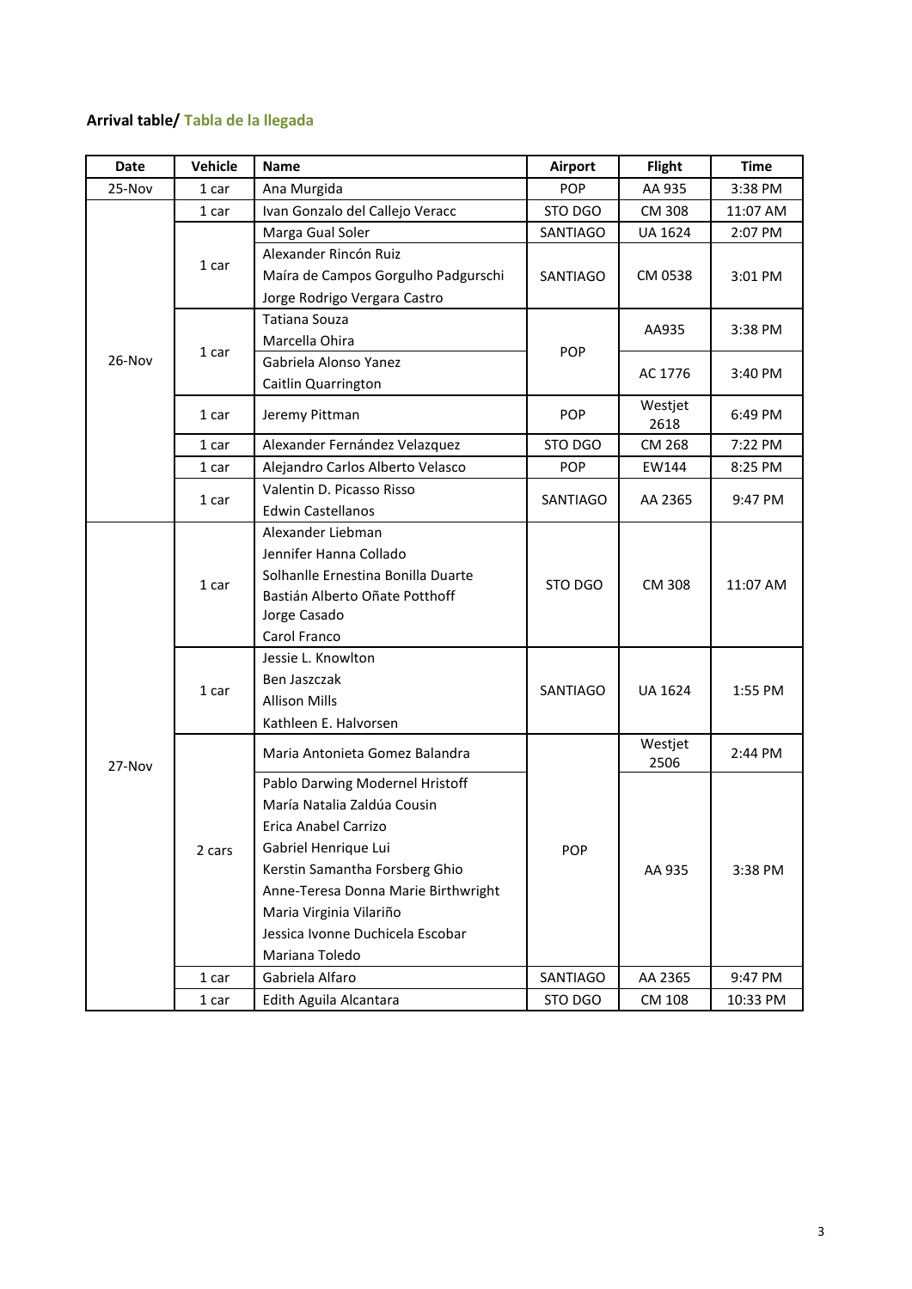# **Arrival table/ Tabla de la llegada**

| Date     | Vehicle | <b>Name</b>                                                                                                                                                                                                                                                              | <b>Airport</b> | Flight          | <b>Time</b> |
|----------|---------|--------------------------------------------------------------------------------------------------------------------------------------------------------------------------------------------------------------------------------------------------------------------------|----------------|-----------------|-------------|
| 25-Nov   | 1 car   | Ana Murgida                                                                                                                                                                                                                                                              | <b>POP</b>     | AA 935          | 3:38 PM     |
| $26-Nov$ | 1 car   | Ivan Gonzalo del Callejo Veracc                                                                                                                                                                                                                                          | STO DGO        | CM 308          | 11:07 AM    |
|          | 1 car   | Marga Gual Soler                                                                                                                                                                                                                                                         | SANTIAGO       | <b>UA 1624</b>  | 2:07 PM     |
|          |         | Alexander Rincón Ruiz                                                                                                                                                                                                                                                    | SANTIAGO       | CM 0538         | 3:01 PM     |
|          |         | Maíra de Campos Gorgulho Padgurschi                                                                                                                                                                                                                                      |                |                 |             |
|          |         | Jorge Rodrigo Vergara Castro                                                                                                                                                                                                                                             |                |                 |             |
|          | 1 car   | Tatiana Souza                                                                                                                                                                                                                                                            | <b>POP</b>     | AA935           | 3:38 PM     |
|          |         | Marcella Ohira                                                                                                                                                                                                                                                           |                |                 |             |
|          |         | Gabriela Alonso Yanez                                                                                                                                                                                                                                                    |                | AC 1776         | 3:40 PM     |
|          |         | Caitlin Quarrington                                                                                                                                                                                                                                                      |                |                 |             |
|          | 1 car   | Jeremy Pittman                                                                                                                                                                                                                                                           | <b>POP</b>     | Westjet<br>2618 | 6:49 PM     |
|          | 1 car   | Alexander Fernández Velazquez                                                                                                                                                                                                                                            | STO DGO        | <b>CM 268</b>   | 7:22 PM     |
|          | 1 car   | Alejandro Carlos Alberto Velasco                                                                                                                                                                                                                                         | <b>POP</b>     | EW144           | 8:25 PM     |
|          |         | Valentin D. Picasso Risso                                                                                                                                                                                                                                                | SANTIAGO       | AA 2365         | 9:47 PM     |
|          | 1 car   | <b>Edwin Castellanos</b>                                                                                                                                                                                                                                                 |                |                 |             |
| 27-Nov   | 1 car   | Alexander Liebman<br>Jennifer Hanna Collado<br>Solhanlle Ernestina Bonilla Duarte<br>Bastián Alberto Oñate Potthoff<br>Jorge Casado<br>Carol Franco                                                                                                                      | STO DGO        | <b>CM 308</b>   | 11:07 AM    |
|          | $1$ car | Jessie L. Knowlton<br>Ben Jaszczak<br><b>Allison Mills</b><br>Kathleen E. Halvorsen                                                                                                                                                                                      | SANTIAGO       | <b>UA 1624</b>  | 1:55 PM     |
|          | 2 cars  | Maria Antonieta Gomez Balandra                                                                                                                                                                                                                                           | <b>POP</b>     | Westjet<br>2506 | 2:44 PM     |
|          |         | Pablo Darwing Modernel Hristoff<br>María Natalia Zaldúa Cousin<br>Erica Anabel Carrizo<br>Gabriel Henrique Lui<br>Kerstin Samantha Forsberg Ghio<br>Anne-Teresa Donna Marie Birthwright<br>Maria Virginia Vilariño<br>Jessica Ivonne Duchicela Escobar<br>Mariana Toledo |                | AA 935          | 3:38 PM     |
|          | 1 car   | Gabriela Alfaro                                                                                                                                                                                                                                                          | SANTIAGO       | AA 2365         | 9:47 PM     |
|          | 1 car   | Edith Aguila Alcantara                                                                                                                                                                                                                                                   | STO DGO        | CM 108          | 10:33 PM    |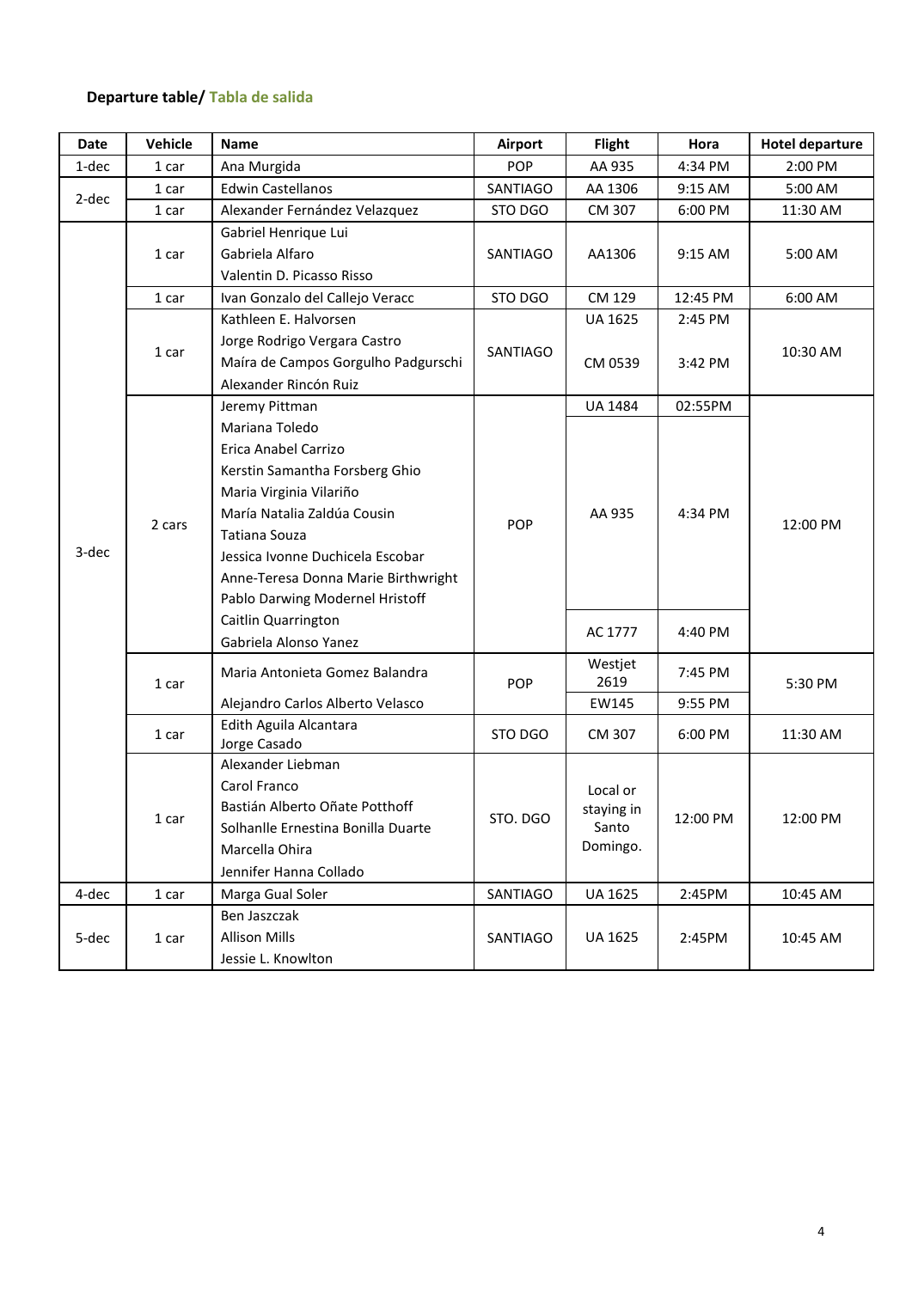# **Departure table/ Tabla de salida**

| Date  | Vehicle | Name                                | Airport    | <b>Flight</b>                               | Hora     | <b>Hotel departure</b> |
|-------|---------|-------------------------------------|------------|---------------------------------------------|----------|------------------------|
| 1-dec | 1 car   | Ana Murgida                         | <b>POP</b> | AA 935                                      | 4:34 PM  | 2:00 PM                |
| 2-dec | 1 car   | <b>Edwin Castellanos</b>            | SANTIAGO   | AA 1306                                     | 9:15 AM  | 5:00 AM                |
|       | 1 car   | Alexander Fernández Velazquez       | STO DGO    | CM 307                                      | 6:00 PM  | 11:30 AM               |
|       | 1 car   | Gabriel Henrique Lui                |            | SANTIAGO<br>9:15 AM<br>AA1306               |          |                        |
|       |         | Gabriela Alfaro                     |            |                                             | 5:00 AM  |                        |
|       |         | Valentin D. Picasso Risso           |            |                                             |          |                        |
|       | 1 car   | Ivan Gonzalo del Callejo Veracc     | STO DGO    | CM 129                                      | 12:45 PM | 6:00 AM                |
|       |         | Kathleen E. Halvorsen               |            | <b>UA 1625</b>                              | 2:45 PM  | 10:30 AM               |
|       |         | Jorge Rodrigo Vergara Castro        | SANTIAGO   | CM 0539                                     | 3:42 PM  |                        |
|       | 1 car   | Maíra de Campos Gorgulho Padgurschi |            |                                             |          |                        |
|       |         | Alexander Rincón Ruiz               |            |                                             |          |                        |
|       |         | Jeremy Pittman                      |            | <b>UA 1484</b>                              | 02:55PM  | 12:00 PM               |
|       |         | Mariana Toledo                      |            | AA 935                                      | 4:34 PM  |                        |
|       | 2 cars  | Erica Anabel Carrizo                | POP        |                                             |          |                        |
|       |         | Kerstin Samantha Forsberg Ghio      |            |                                             |          |                        |
|       |         | Maria Virginia Vilariño             |            |                                             |          |                        |
| 3-dec |         | María Natalia Zaldúa Cousin         |            |                                             |          |                        |
|       |         | Tatiana Souza                       |            |                                             |          |                        |
|       |         | Jessica Ivonne Duchicela Escobar    |            |                                             |          |                        |
|       |         | Anne-Teresa Donna Marie Birthwright |            |                                             |          |                        |
|       |         | Pablo Darwing Modernel Hristoff     |            |                                             |          |                        |
|       |         | Caitlin Quarrington                 |            | AC 1777                                     | 4:40 PM  |                        |
|       |         | Gabriela Alonso Yanez               |            |                                             |          |                        |
|       | $1$ car |                                     | <b>POP</b> | Westjet                                     |          | 5:30 PM                |
|       |         | Maria Antonieta Gomez Balandra      |            | 2619                                        | 7:45 PM  |                        |
|       |         | Alejandro Carlos Alberto Velasco    |            | EW145                                       | 9:55 PM  |                        |
|       | 1 car   | Edith Aguila Alcantara              | STO DGO    | CM 307                                      | 6:00 PM  | 11:30 AM               |
|       |         | Jorge Casado                        |            |                                             |          |                        |
|       | $1$ car | Alexander Liebman                   | STO. DGO   | Local or<br>staying in<br>Santo<br>Domingo. | 12:00 PM | 12:00 PM               |
|       |         | Carol Franco                        |            |                                             |          |                        |
|       |         | Bastián Alberto Oñate Potthoff      |            |                                             |          |                        |
|       |         | Solhanlle Ernestina Bonilla Duarte  |            |                                             |          |                        |
|       |         | Marcella Ohira                      |            |                                             |          |                        |
|       |         | Jennifer Hanna Collado              |            |                                             |          |                        |
| 4-dec | 1 car   | Marga Gual Soler                    | SANTIAGO   | <b>UA 1625</b>                              | 2:45PM   | 10:45 AM               |
| 5-dec | 1 car   | Ben Jaszczak                        | SANTIAGO   | UA 1625                                     | 2:45PM   | 10:45 AM               |
|       |         | <b>Allison Mills</b>                |            |                                             |          |                        |
|       |         | Jessie L. Knowlton                  |            |                                             |          |                        |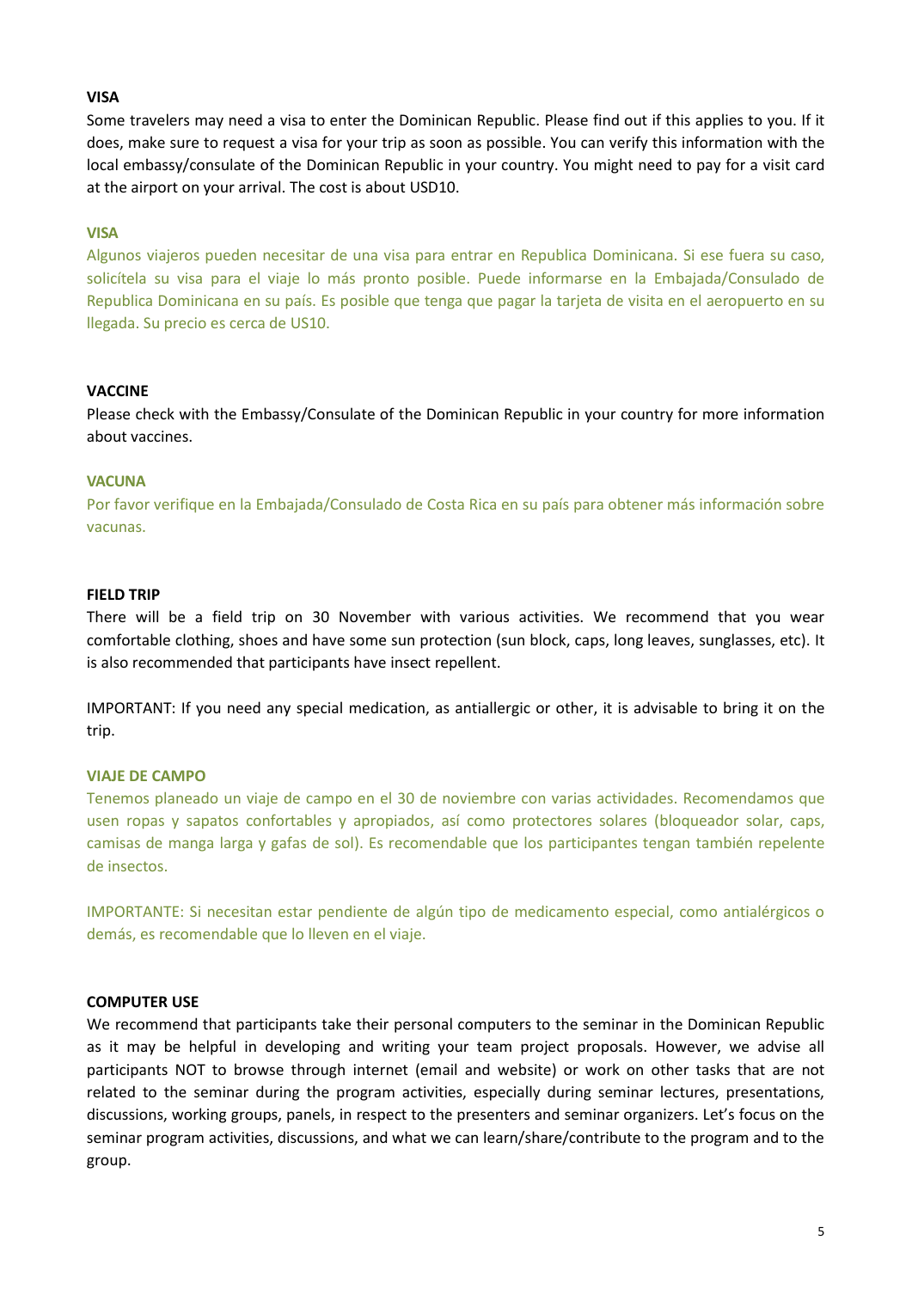# **VISA**

Some travelers may need a visa to enter the Dominican Republic. Please find out if this applies to you. If it does, make sure to request a visa for your trip as soon as possible. You can verify this information with the local embassy/consulate of the Dominican Republic in your country. You might need to pay for a visit card at the airport on your arrival. The cost is about USD10.

## **VISA**

Algunos viajeros pueden necesitar de una visa para entrar en Republica Dominicana. Si ese fuera su caso, solicítela su visa para el viaje lo más pronto posible. Puede informarse en la Embajada/Consulado de Republica Dominicana en su país. Es posible que tenga que pagar la tarjeta de visita en el aeropuerto en su llegada. Su precio es cerca de US10.

#### **VACCINE**

Please check with the Embassy/Consulate of the Dominican Republic in your country for more information about vaccines.

#### **VACUNA**

Por favor verifique en la Embajada/Consulado de Costa Rica en su país para obtener más información sobre vacunas.

#### **FIELD TRIP**

There will be a field trip on 30 November with various activities. We recommend that you wear comfortable clothing, shoes and have some sun protection (sun block, caps, long leaves, sunglasses, etc). It is also recommended that participants have insect repellent.

IMPORTANT: If you need any special medication, as antiallergic or other, it is advisable to bring it on the trip.

## **VIAJE DE CAMPO**

Tenemos planeado un viaje de campo en el 30 de noviembre con varias actividades. Recomendamos que usen ropas y sapatos confortables y apropiados, así como protectores solares (bloqueador solar, caps, camisas de manga larga y gafas de sol). Es recomendable que los participantes tengan también repelente de insectos.

IMPORTANTE: Si necesitan estar pendiente de algún tipo de medicamento especial, como antialérgicos o demás, es recomendable que lo lleven en el viaje.

#### **COMPUTER USE**

We recommend that participants take their personal computers to the seminar in the Dominican Republic as it may be helpful in developing and writing your team project proposals. However, we advise all participants NOT to browse through internet (email and website) or work on other tasks that are not related to the seminar during the program activities, especially during seminar lectures, presentations, discussions, working groups, panels, in respect to the presenters and seminar organizers. Let's focus on the seminar program activities, discussions, and what we can learn/share/contribute to the program and to the group.